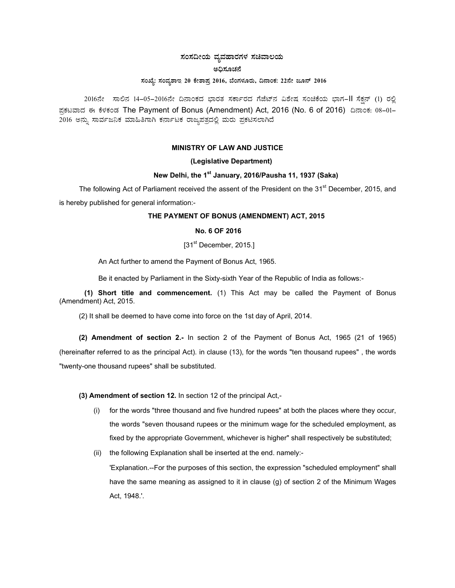# $\,$ ಸಂಸದೀಯ ವ್ಯವಹಾರಗಳ ಸಚಿವಾಲಯ

### ಅಧಿಕೂಚನೆ

### $\bar{x}$ ನಂಖ್ಯೆ: ಸಂವ್ಯಶಾಇ 20 ಕೇಶಾಪ್ರ 2016, ಬೆಂಗಳೂರು, ದಿನಾಂಕ: 22ನೇ ಜೂನ್ 2016

2016ನೇ ಸಾಲಿನ 14-05-2016ನೇ ದಿನಾಂಕದ ಭಾರತ ಸರ್ಕಾರದ ಗೆಜೆಟ್ ಮತೇಷ ಸಂಚಿಕೆಯ ಭಾಗ-II ಸೆಕ್ಷನ್ (1) ರಲ್ಲಿ ಪ್ರಕಟವಾದ ಈ ಕೆಳಕಂಡ The Payment of Bonus (Amendment) Act, 2016 (No. 6 of 2016) ದಿನಾಂಕ: 08-01-2016 ಅನ್ನು ಸಾರ್ವಜನಿಕ ಮಾಹಿತಿಗಾಗಿ ಕರ್ನಾಟಕ ರಾಜ್ಯಪತ್ರದಲ್ಲಿ ಮರು ಪ್ರಕಟಿಸಲಾಗಿದೆ

# **MINISTRY OF LAW AND JUSTICE**

### **(Legislative Department)**

## **New Delhi, the 1st January, 2016/Pausha 11, 1937 (Saka)**

The following Act of Parliament received the assent of the President on the 31<sup>st</sup> December, 2015, and is hereby published for general information:-

## **THE PAYMENT OF BONUS (AMENDMENT) ACT, 2015**

## **No. 6 OF 2016**

# [31<sup>st</sup> December, 2015.]

An Act further to amend the Payment of Bonus Act, 1965.

Be it enacted by Parliament in the Sixty-sixth Year of the Republic of India as follows:-

**(1) Short title and commencement.** (1) This Act may be called the Payment of Bonus (Amendment) Act, 2015.

(2) It shall be deemed to have come into force on the 1st day of April, 2014.

**(2) Amendment of section 2.-** In section 2 of the Payment of Bonus Act, 1965 (21 of 1965) (hereinafter referred to as the principal Act). in clause (13), for the words "ten thousand rupees" , the words "twenty-one thousand rupees" shall be substituted.

### **(3) Amendment of section 12.** In section 12 of the principal Act,-

- (i) for the words "three thousand and five hundred rupees" at both the places where they occur, the words "seven thousand rupees or the minimum wage for the scheduled employment, as fixed by the appropriate Government, whichever is higher" shall respectively be substituted;
- (ii) the following Explanation shall be inserted at the end. namely:-

'Explanation.--For the purposes of this section, the expression "scheduled employment" shall have the same meaning as assigned to it in clause (g) of section 2 of the Minimum Wages Act, 1948.'.